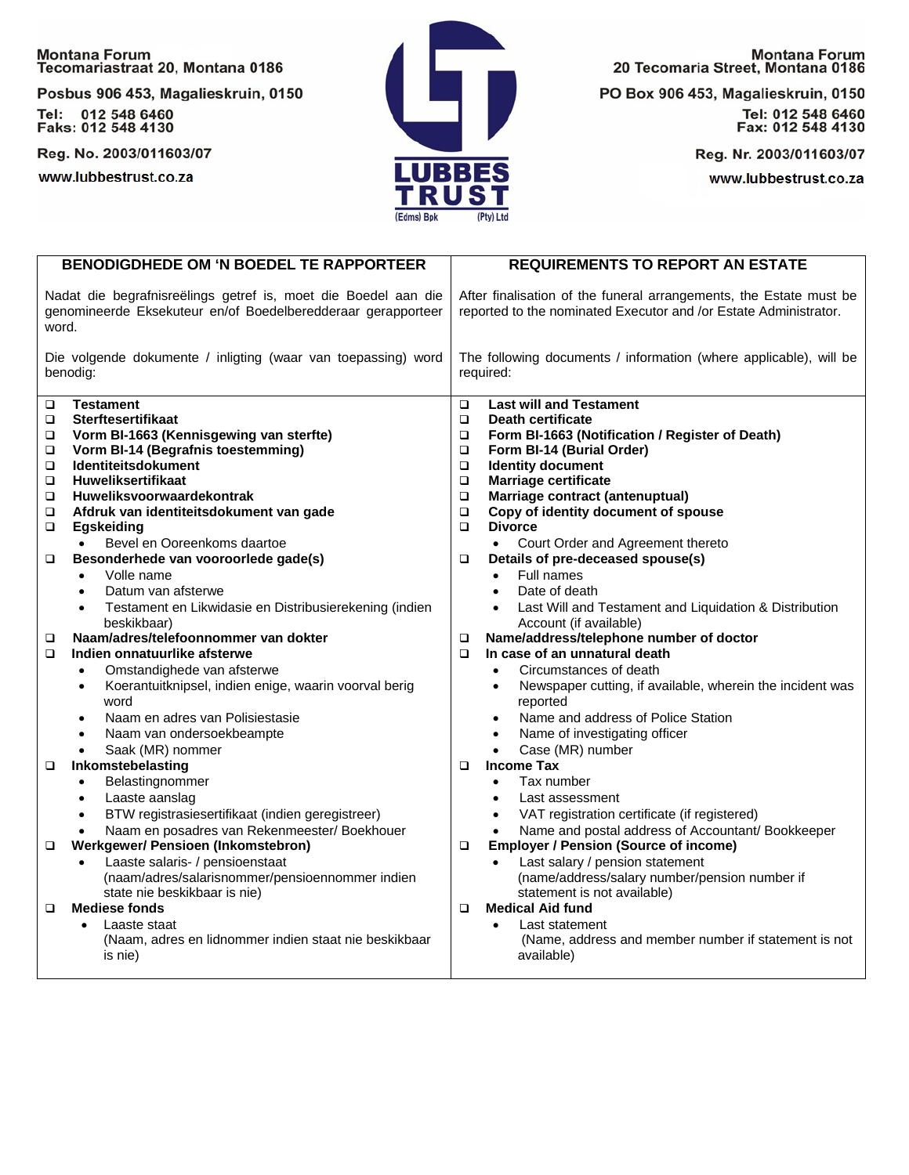## Montana Forum<br>Tecomariastraat 20, Montana 0186

Posbus 906 453, Magalieskruin, 0150 Tel: 012 548 6460<br>Faks: 012 548 4130

Reg. No. 2003/011603/07

www.lubbestrust.co.za



**Montana Forum** 20 Tecomaria Street, Montana 0186

PO Box 906 453, Magalieskruin, 0150

Tel: 012 548 6460<br>Fax: 012 548 4130

Reg. Nr. 2003/011603/07

www.lubbestrust.co.za

|                                                                                                                                         | <b>BENODIGDHEDE OM 'N BOEDEL TE RAPPORTEER</b>                                                                                                                                                                                                                                                                                                                                                                                    | <b>REQUIREMENTS TO REPORT AN ESTATE</b>                                                                                                                                                                                                                                                                                                                                                                                                                                                                                                        |  |  |  |
|-----------------------------------------------------------------------------------------------------------------------------------------|-----------------------------------------------------------------------------------------------------------------------------------------------------------------------------------------------------------------------------------------------------------------------------------------------------------------------------------------------------------------------------------------------------------------------------------|------------------------------------------------------------------------------------------------------------------------------------------------------------------------------------------------------------------------------------------------------------------------------------------------------------------------------------------------------------------------------------------------------------------------------------------------------------------------------------------------------------------------------------------------|--|--|--|
| Nadat die begrafnisreëlings getref is, moet die Boedel aan die<br>genomineerde Eksekuteur en/of Boedelberedderaar gerapporteer<br>word. |                                                                                                                                                                                                                                                                                                                                                                                                                                   | After finalisation of the funeral arrangements, the Estate must be<br>reported to the nominated Executor and /or Estate Administrator.                                                                                                                                                                                                                                                                                                                                                                                                         |  |  |  |
| Die volgende dokumente / inligting (waar van toepassing) word<br>benodig:                                                               |                                                                                                                                                                                                                                                                                                                                                                                                                                   | The following documents / information (where applicable), will be<br>required:                                                                                                                                                                                                                                                                                                                                                                                                                                                                 |  |  |  |
| $\Box$<br>□<br>$\Box$<br>□<br>$\Box$<br>$\Box$<br>о<br>$\Box$<br>$\Box$<br>$\Box$                                                       | <b>Testament</b><br><b>Sterftesertifikaat</b><br>Vorm BI-1663 (Kennisgewing van sterfte)<br>Vorm BI-14 (Begrafnis toestemming)<br><b>Identiteitsdokument</b><br><b>Huweliksertifikaat</b><br>Huweliksvoorwaardekontrak<br>Afdruk van identiteitsdokument van gade<br>Egskeiding<br>Bevel en Ooreenkoms daartoe<br>$\bullet$<br>Besonderhede van vooroorlede gade(s)<br>Volle name<br>$\bullet$<br>Datum van afsterwe<br>$\bullet$ | <b>Last will and Testament</b><br>$\Box$<br>Death certificate<br>$\Box$<br>Form BI-1663 (Notification / Register of Death)<br>$\Box$<br>Form BI-14 (Burial Order)<br>$\Box$<br>$\Box$<br><b>Identity document</b><br>$\Box$<br><b>Marriage certificate</b><br>Marriage contract (antenuptual)<br>$\Box$<br>Copy of identity document of spouse<br>$\Box$<br><b>Divorce</b><br>$\Box$<br>Court Order and Agreement thereto<br>$\bullet$<br>Details of pre-deceased spouse(s)<br>$\Box$<br>Full names<br>$\bullet$<br>Date of death<br>$\bullet$ |  |  |  |
| $\Box$<br>$\Box$                                                                                                                        | Testament en Likwidasie en Distribusierekening (indien<br>$\bullet$<br>beskikbaar)<br>Naam/adres/telefoonnommer van dokter<br>Indien onnatuurlike afsterwe<br>Omstandighede van afsterwe<br>$\bullet$<br>Koerantuitknipsel, indien enige, waarin voorval berig<br>$\bullet$<br>word<br>Naam en adres van Polisiestasie<br>$\bullet$                                                                                               | Last Will and Testament and Liquidation & Distribution<br>Account (if available)<br>Name/address/telephone number of doctor<br>$\Box$<br>In case of an unnatural death<br>$\Box$<br>Circumstances of death<br>$\bullet$<br>Newspaper cutting, if available, wherein the incident was<br>$\bullet$<br>reported<br>Name and address of Police Station<br>$\bullet$                                                                                                                                                                               |  |  |  |
| □<br>□                                                                                                                                  | Naam van ondersoekbeampte<br>$\bullet$<br>Saak (MR) nommer<br>$\bullet$<br>Inkomstebelasting<br>Belastingnommer<br>Laaste aanslag<br>$\bullet$<br>BTW registrasiesertifikaat (indien geregistreer)<br>$\bullet$<br>Naam en posadres van Rekenmeester/ Boekhouer<br><b>Werkgewer/ Pensioen (Inkomstebron)</b>                                                                                                                      | Name of investigating officer<br>$\bullet$<br>Case (MR) number<br>$\bullet$<br><b>Income Tax</b><br>$\Box$<br>Tax number<br>$\bullet$<br>Last assessment<br>$\bullet$<br>VAT registration certificate (if registered)<br>$\bullet$<br>Name and postal address of Accountant/ Bookkeeper<br>$\bullet$<br><b>Employer / Pension (Source of income)</b><br>$\Box$                                                                                                                                                                                 |  |  |  |
| □                                                                                                                                       | Laaste salaris- / pensioenstaat<br>(naam/adres/salarisnommer/pensioennommer indien<br>state nie beskikbaar is nie)<br><b>Mediese fonds</b><br>Laaste staat<br>(Naam, adres en lidnommer indien staat nie beskikbaar<br>is nie)                                                                                                                                                                                                    | Last salary / pension statement<br>(name/address/salary number/pension number if<br>statement is not available)<br><b>Medical Aid fund</b><br>□<br>Last statement<br>$\bullet$<br>(Name, address and member number if statement is not<br>available)                                                                                                                                                                                                                                                                                           |  |  |  |